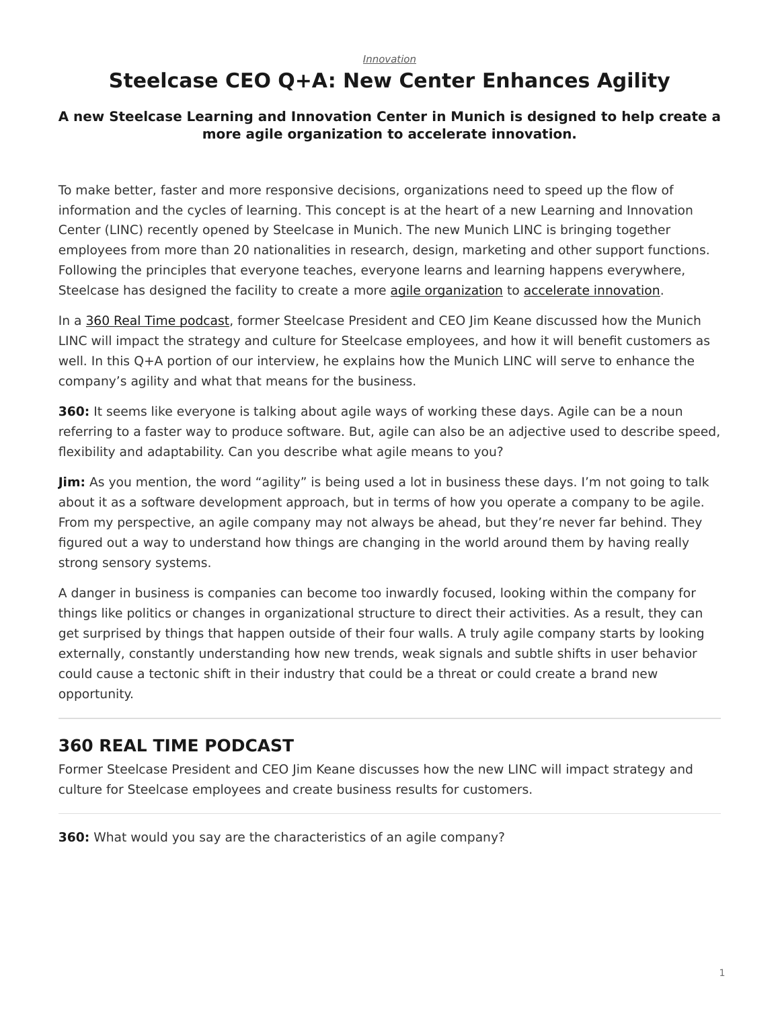## <span id="page-0-0"></span>**Steelcase CEO Q+A: New Center Enhances Agility**

## **A new Steelcase Learning and Innovation Center in Munich is designed to help create a more agile organization to accelerate innovation.**

To make better, faster and more responsive decisions, organizations need to speed up the flow of information and the cycles of learning. This concept is at the heart of a new Learning and Innovation Center (LINC) recently opened by Steelcase in Munich. The new Munich LINC is bringing together employees from more than 20 nationalities in research, design, marketing and other support functions. Following the principles that everyone teaches, everyone learns and learning happens everywhere, Steelcase has designed the facility to create a more [agile organization](https://www.steelcase.com/spaces-inspiration/resilient-workplace/) to [accelerate innovation](https://www.steelcase.com/research/articles/topics/innovation/bmw-driving-innovation/).

In a [360 Real Time podcast](https://www.steelcase.com/research/podcasts/learning-innovation-center-ceo-perspective/), former Steelcase President and CEO Jim Keane discussed how the Munich LINC will impact the strategy and culture for Steelcase employees, and how it will benefit customers as well. In this Q+A portion of our interview, he explains how the Munich LINC will serve to enhance the company's agility and what that means for the business.

**360:** It seems like everyone is talking about agile ways of working these days. Agile can be a noun referring to a faster way to produce software. But, agile can also be an adjective used to describe speed, flexibility and adaptability. Can you describe what agile means to you?

**Jim:** As you mention, the word "agility" is being used a lot in business these days. I'm not going to talk about it as a software development approach, but in terms of how you operate a company to be agile. From my perspective, an agile company may not always be ahead, but they're never far behind. They figured out a way to understand how things are changing in the world around them by having really strong sensory systems.

A danger in business is companies can become too inwardly focused, looking within the company for things like politics or changes in organizational structure to direct their activities. As a result, they can get surprised by things that happen outside of their four walls. A truly agile company starts by looking externally, constantly understanding how new trends, weak signals and subtle shifts in user behavior could cause a tectonic shift in their industry that could be a threat or could create a brand new opportunity.

## **360 REAL TIME PODCAST**

Former Steelcase President and CEO Jim Keane discusses how the new LINC will impact strategy and culture for Steelcase employees and create business results for customers.

**360:** What would you say are the characteristics of an agile company?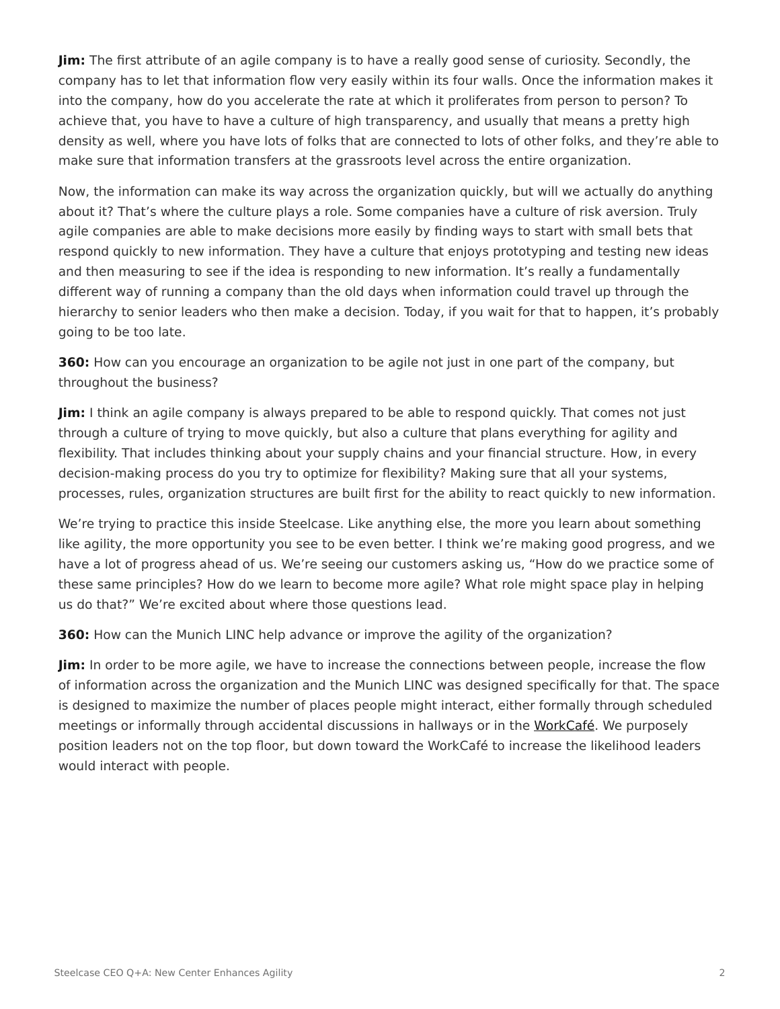**Jim:** The first attribute of an agile company is to have a really good sense of curiosity. Secondly, the company has to let that information flow very easily within its four walls. Once the information makes it into the company, how do you accelerate the rate at which it proliferates from person to person? To achieve that, you have to have a culture of high transparency, and usually that means a pretty high density as well, where you have lots of folks that are connected to lots of other folks, and they're able to make sure that information transfers at the grassroots level across the entire organization.

Now, the information can make its way across the organization quickly, but will we actually do anything about it? That's where the culture plays a role. Some companies have a culture of risk aversion. Truly agile companies are able to make decisions more easily by finding ways to start with small bets that respond quickly to new information. They have a culture that enjoys prototyping and testing new ideas and then measuring to see if the idea is responding to new information. It's really a fundamentally different way of running a company than the old days when information could travel up through the hierarchy to senior leaders who then make a decision. Today, if you wait for that to happen, it's probably going to be too late.

**360:** How can you encourage an organization to be agile not just in one part of the company, but throughout the business?

**Jim:** I think an agile company is always prepared to be able to respond quickly. That comes not just through a culture of trying to move quickly, but also a culture that plans everything for agility and flexibility. That includes thinking about your supply chains and your financial structure. How, in every decision-making process do you try to optimize for flexibility? Making sure that all your systems, processes, rules, organization structures are built first for the ability to react quickly to new information.

We're trying to practice this inside Steelcase. Like anything else, the more you learn about something like agility, the more opportunity you see to be even better. I think we're making good progress, and we have a lot of progress ahead of us. We're seeing our customers asking us, "How do we practice some of these same principles? How do we learn to become more agile? What role might space play in helping us do that?" We're excited about where those questions lead.

**360:** How can the Munich LINC help advance or improve the agility of the organization?

**Jim:** In order to be more agile, we have to increase the connections between people, increase the flow of information across the organization and the Munich LINC was designed specifically for that. The space is designed to maximize the number of places people might interact, either formally through scheduled meetings or informally through accidental discussions in hallways or in the [WorkCafé.](https://www.steelcase.com/spaces-inspiration/resilient-workplace/workcafe/) We purposely position leaders not on the top floor, but down toward the WorkCafé to increase the likelihood leaders would interact with people.